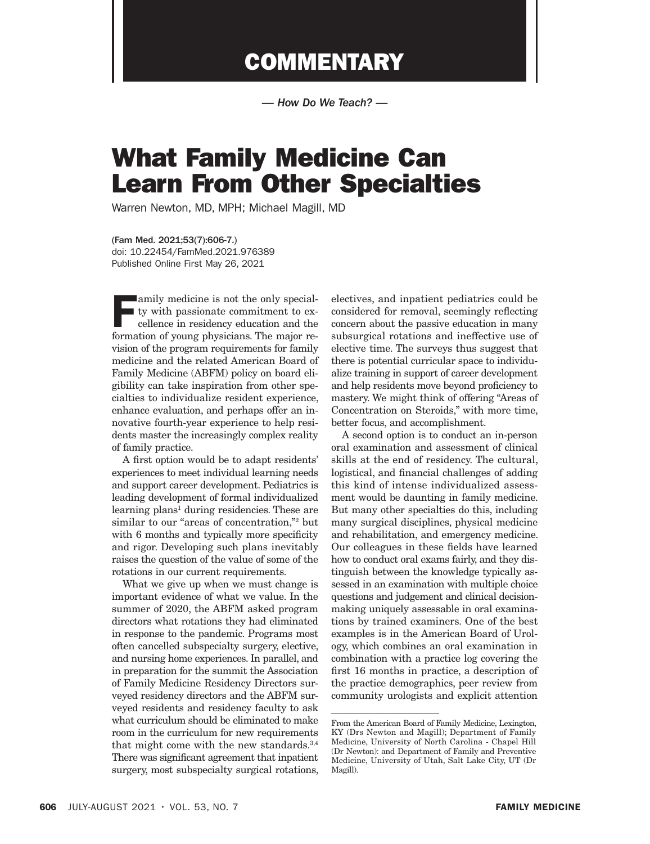## **COMMENTARY**

*— How Do We Teach? —*

## What Family Medicine Can Learn From Other Specialties

Warren Newton, MD, MPH; Michael Magill, MD

(Fam Med. 2021;53(7):606-7.) doi: 10.22454/FamMed.2021.976389 Published Online First May 26, 2021

**Family medicine is not the only special**ty with passionate commitment to excellence in residency education and the formation of young physicians. The major revision of the program requirements for family medicine and the related American Board of Family Medicine (ABFM) policy on board eligibility can take inspiration from other specialties to individualize resident experience, enhance evaluation, and perhaps offer an innovative fourth-year experience to help residents master the increasingly complex reality of family practice.

A first option would be to adapt residents' experiences to meet individual learning needs and support career development. Pediatrics is leading development of formal individualized learning plans<sup>1</sup> during residencies. These are similar to our "areas of concentration,"2 but with 6 months and typically more specificity and rigor. Developing such plans inevitably raises the question of the value of some of the rotations in our current requirements.

What we give up when we must change is important evidence of what we value. In the summer of 2020, the ABFM asked program directors what rotations they had eliminated in response to the pandemic. Programs most often cancelled subspecialty surgery, elective, and nursing home experiences. In parallel, and in preparation for the summit the Association of Family Medicine Residency Directors surveyed residency directors and the ABFM surveyed residents and residency faculty to ask what curriculum should be eliminated to make room in the curriculum for new requirements that might come with the new standards.<sup>3,4</sup> There was significant agreement that inpatient surgery, most subspecialty surgical rotations,

electives, and inpatient pediatrics could be considered for removal, seemingly reflecting concern about the passive education in many subsurgical rotations and ineffective use of elective time. The surveys thus suggest that there is potential curricular space to individualize training in support of career development and help residents move beyond proficiency to mastery. We might think of offering "Areas of Concentration on Steroids," with more time, better focus, and accomplishment.

A second option is to conduct an in-person oral examination and assessment of clinical skills at the end of residency. The cultural, logistical, and financial challenges of adding this kind of intense individualized assessment would be daunting in family medicine. But many other specialties do this, including many surgical disciplines, physical medicine and rehabilitation, and emergency medicine. Our colleagues in these fields have learned how to conduct oral exams fairly, and they distinguish between the knowledge typically assessed in an examination with multiple choice questions and judgement and clinical decisionmaking uniquely assessable in oral examinations by trained examiners. One of the best examples is in the American Board of Urology, which combines an oral examination in combination with a practice log covering the first 16 months in practice, a description of the practice demographics, peer review from community urologists and explicit attention

From the American Board of Family Medicine, Lexington, KY (Drs Newton and Magill); Department of Family Medicine, University of North Carolina - Chapel Hill (Dr Newton): and Department of Family and Preventive Medicine, University of Utah, Salt Lake City, UT (Dr Magill).